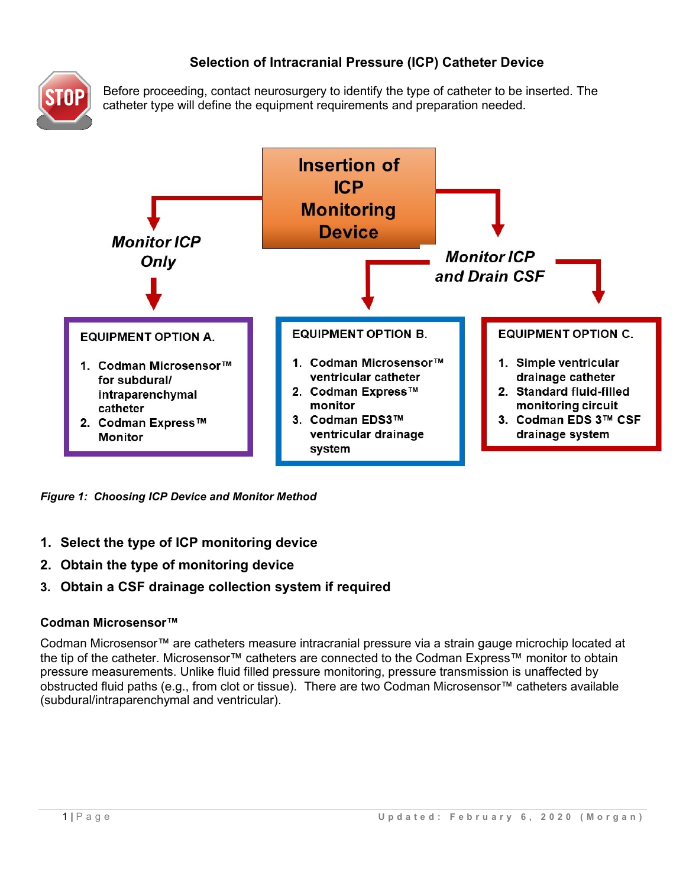# **Selection of Intracranial Pressure (ICP) Catheter Device**



Before proceeding, contact neurosurgery to identify the type of catheter to be inserted. The catheter type will define the equipment requirements and preparation needed.



*Figure 1: Choosing ICP Device and Monitor Method*

- **1. Select the type of ICP monitoring device**
- **2. Obtain the type of monitoring device**
- **3. Obtain a CSF drainage collection system if required**

### **Codman Microsensor™**

Codman Microsensor™ are catheters measure intracranial pressure via a strain gauge microchip located at the tip of the catheter. Microsensor™ catheters are connected to the Codman Express™ monitor to obtain pressure measurements. Unlike fluid filled pressure monitoring, pressure transmission is unaffected by obstructed fluid paths (e.g., from clot or tissue). There are two Codman Microsensor™ catheters available (subdural/intraparenchymal and ventricular).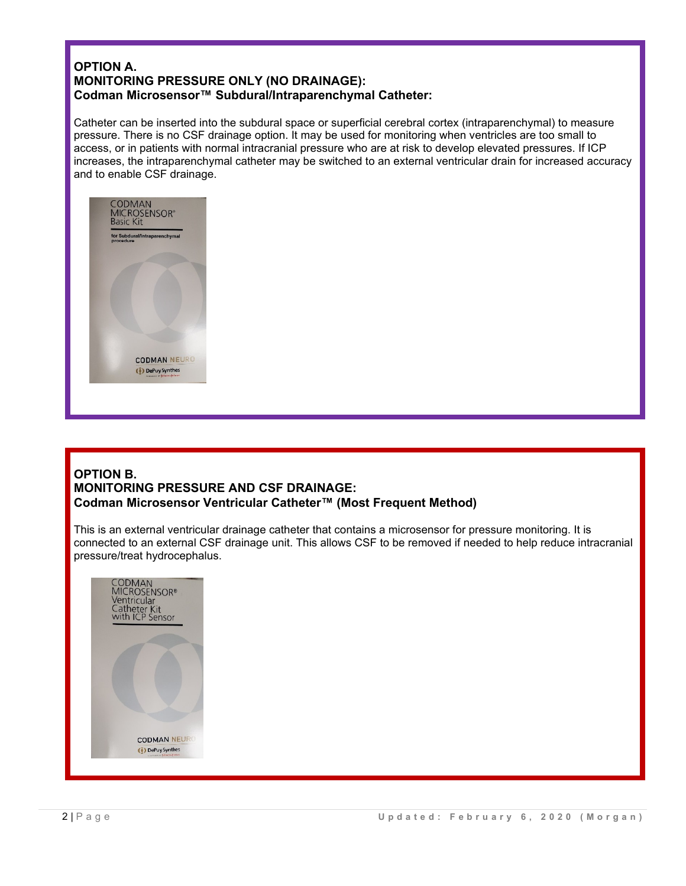### **OPTION A. MONITORING PRESSURE ONLY (NO DRAINAGE): Codman Microsensor™ Subdural/Intraparenchymal Catheter:**

Catheter can be inserted into the subdural space or superficial cerebral cortex (intraparenchymal) to measure pressure. There is no CSF drainage option. It may be used for monitoring when ventricles are too small to access, or in patients with normal intracranial pressure who are at risk to develop elevated pressures. If ICP increases, the intraparenchymal catheter may be switched to an external ventricular drain for increased accuracy and to enable CSF drainage.



### **OPTION B. MONITORING PRESSURE AND CSF DRAINAGE: Codman Microsensor Ventricular Catheter™ (Most Frequent Method)**

This is an external ventricular drainage catheter that contains a microsensor for pressure monitoring. It is connected to an external CSF drainage unit. This allows CSF to be removed if needed to help reduce intracranial pressure/treat hydrocephalus.